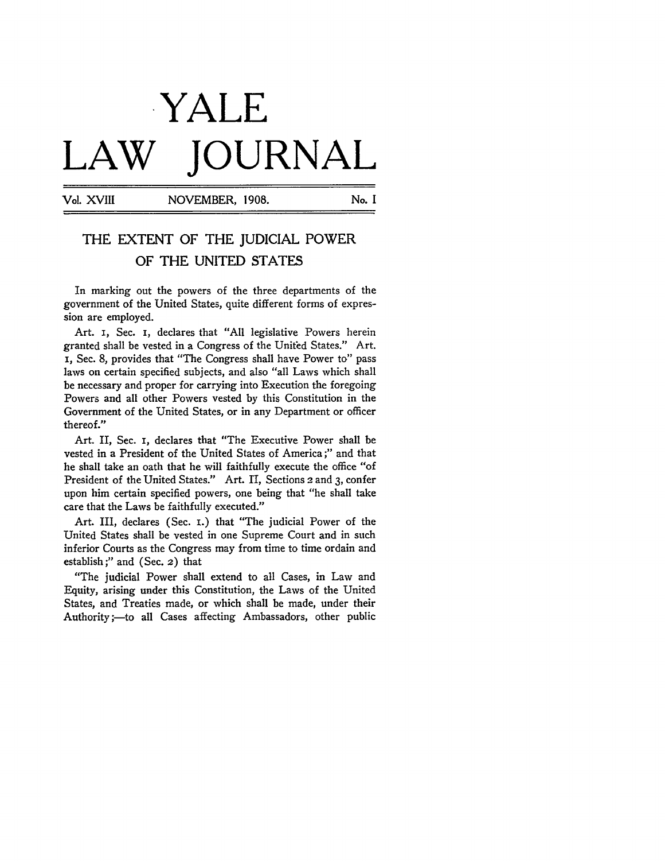## YALE LAW **JOURNAL**

Vol. XVIII NOVEMBER, 1908. No. I

## THE EXTENT OF THE JUDICIAL POWER OF THE UNITED STATES

In marking out the powers of the three departments of the government of the United States, quite different forms of expression are employed.

Art. i, Sec. i, declares that "All legislative Powers herein granted shall be vested in a Congress of the United States." Art. i, Sec. 8, provides that "The Congress shall have Power to" pass laws on certain specified subjects, and also "all Laws which shall be necessary and proper for carrying into Execution the foregoing Powers and all other Powers vested **by** this Constitution in the Government of the United States, or in any Department or officer thereof."

Art. II, Sec. i, declares that "The Executive Power shall be vested in a President of the United States of America ;" and that he shall take an oath that he will faithfully execute the office "of President of the United States." Art. II, Sections 2 and 3, confer upon him certain specified powers, one being that "he shall take care that the Laws be faithfully executed."

Art. III, declares (Sec. **i.)** that "The judicial Power of the United States shall be vested in one Supreme Court and in such inferior Courts as the Congress may from time to time ordain and establish;" and (Sec. 2) that

"The judicial Power shall extend to all Cases, in Law and Equity, arising under this Constitution, the Laws of the United States, and Treaties made, or which shall be made, under their Authority ;- to all Cases affecting Ambassadors, other public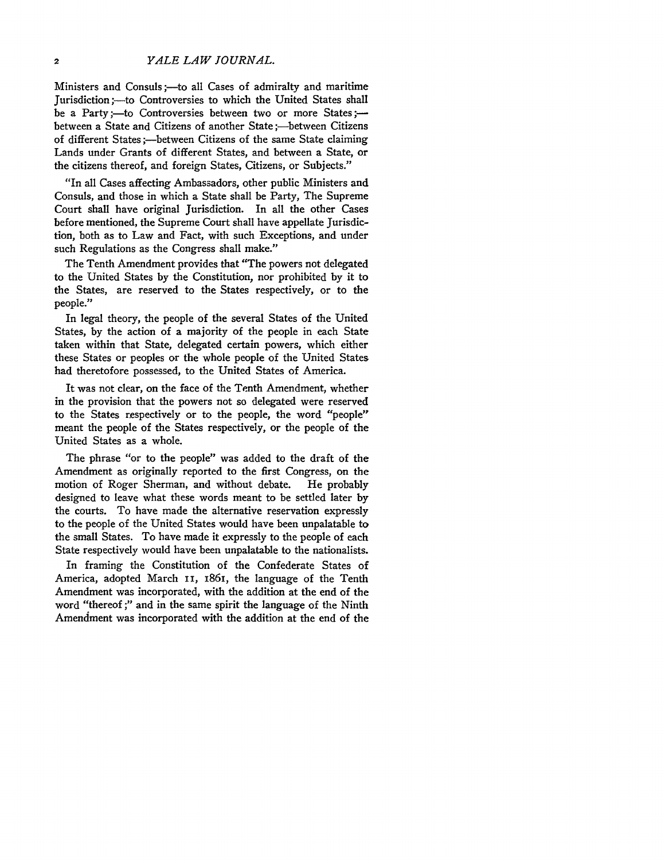Ministers and Consuls ;- to all Cases of admiralty and maritime Jurisdiction ;- to Controversies to which the United States shall be a Party ;-- to Controversies between two or more States ;between a State and Citizens of another State ;- between Citizens of different States;--between Citizens of the same State claiming Lands under Grants of different States, and between a State, or the citizens thereof, and foreign States, Citizens, or Subjects."

"In all Cases affecting Ambassadors, other public Ministers and Consuls, and those in which a State shall be Party, The Supreme Court shall have original Jurisdiction. In all the other Cases before mentioned, the Supreme Court shall have appellate Jurisdiction, both as to Law and Fact, with such Exceptions, and under such Regulations as the Congress shall make."

The Tenth Amendment provides that "The powers not delegated to the United States by the Constitution, nor prohibited by it to the States, are reserved to the States respectively, or to the people."

In legal theory, the people of the several States of the United States, by the action of a majority of the people in each State taken within that State, delegated certain powers, which either these States or peoples or the whole people of the United States had theretofore possessed, to the United States of America.

It was not clear, on the face of the Tenth Amendment, whether in the provision that the powers not so delegated were reserved to the States respectively or to the people, the word "people" meant the people of the States respectively, or the people of the United States as a whole.

The phrase "or to the people" was added to the draft of the Amendment as originally reported to the first Congress, on the motion of Roger Sherman, and without debate. He probably designed to leave what these words meant to be settled later by the courts. To have made the alternative reservation expressly to the people of the United States would have been unpalatable to the small States. To have made it expressly to the people of each State respectively would have been unpalatable to the nationalists.

In framing the Constitution of the Confederate States of America, adopted March **ii,** i86i, the language of the Tenth Amendment was incorporated, with the addition at the end of the word "thereof ;" and in the same spirit the language of the Ninth Amendment was incorporated with the addition at the end of the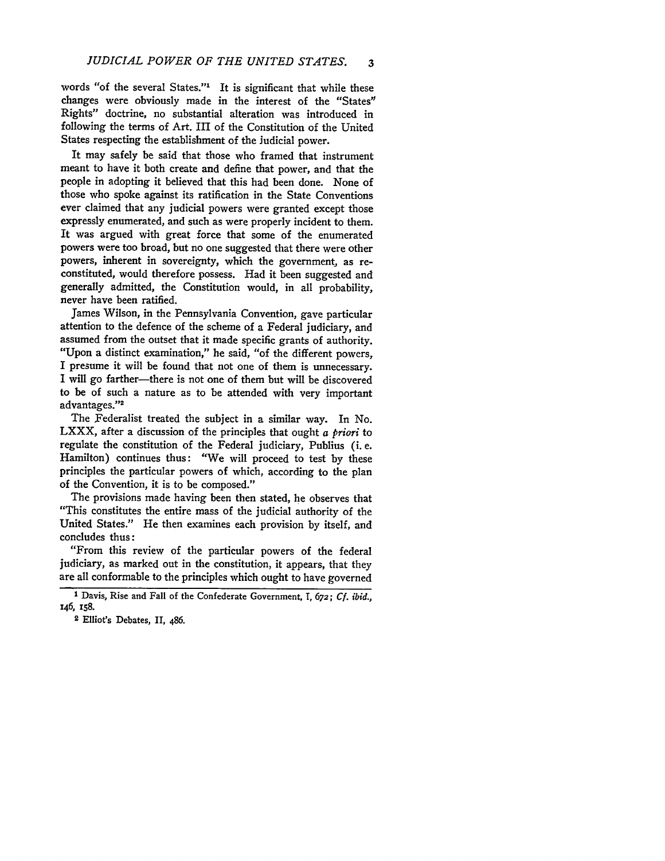words "of the several States."' It is significant that while these changes were obviously made in the interest of the "States" Rights" doctrine, no substantial alteration was introduced in following the terms of Art. III of the Constitution of the United States respecting the establishment of the judicial power.

It may safely be said that those who framed that instrument meant to have it both create and define that power, and that the people in adopting it believed that this had been done. None of those who spoke against its ratification in the State Conventions ever claimed that any judicial powers were granted except those expressly enumerated, and such as were properly incident to them. It was argued with great force that some of the enumerated powers were too broad, but no one suggested that there were other powers, inherent in sovereignty, which the government, as reconstituted, would therefore possess. Had it been suggested and generally admitted, the Constitution would, in all probability, never have been ratified.

James Wilson, in the Pennsylvania Convention, gave particular attention to the defence of the scheme of a Federal judiciary, and assumed from the outset that it made specific grants of authority. "Upon a distinct examination," he said, "of the different powers, I presume it will be found that not one of them is unnecessary. I will go farther-there is not one of them but will be discovered to be of such a nature as to be attended with very important advantages."<sup>2</sup>

The Federalist treated the subject in a similar way. In No. LXXX, after a discussion of the principles that ought *a priori* to regulate the constitution of the Federal judiciary, Publius (i. e. Hamilton) continues thus: "We will proceed to test by these principles the particular powers of which, according to the plan of the Convention, it is to be composed."

The provisions made having been then stated, he observes that "This constitutes the entire mass of the judicial authority of the United States." He then examines each provision by itself, and concludes thus:

"From this review of the particular powers of the federal judiciary, as marked out in the constitution, it appears, that they are all conformable to the principles which ought to have governed

**<sup>1</sup>** Davis, Rise and Fall of the Confederate Government, T, **672;** *Cf. ibid.,* 146, 158.

**<sup>2</sup>** Elliot's Debates, II, 486.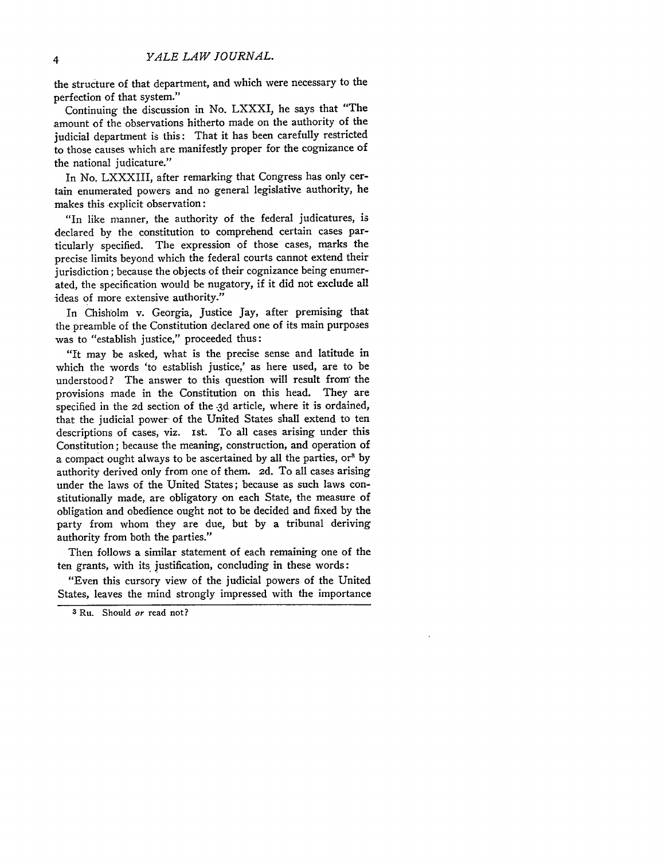the structure of that department, and which were necessary to the perfection of that system."

Continuing the discussion in No. LXXXI, he says that "The amount of the observations hitherto made on the authority of the judicial department is this: That it has been carefully restricted to those causes which are manifestly proper for the cognizance of the national judicature."

In No. LXXXIII, after remarking that Congress has only certain enumerated powers and no general legislative authority, he makes this explicit observation:

"In like manner, the authority of the federal judicatures, is declared **by** the constitution to comprehend certain cases particularly specified. The expression of those cases, marks the precise limits beyond which the federal courts cannot extend their jurisdiction; because the objects of their cognizance being enumerated, the specification would be nugatory, if it did not exclude all ideas of more extensive authority."

In Chisholm v. Georgia, Justice Jay, after premising that the preamble of the Constitution declared one of its main purposes was to "establish justice," proceeded thus:

"It may be asked, what is the precise sense and latitude in which the words 'to establish justice,' as here used, are to be understood? The answer to this question will result from" the provisions made in the Constitution on this head. They are specified in the 2d section of the **.3d** article, where it is ordained, that the judicial power- of the United States shall extend to ten descriptions of cases, viz. Ist. To all cases arising under this Constitution; because the meaning, construction, and operation of a compact ought always to be ascertained **by** all the parties, or <sup>3</sup>**by** authority derived only from one of them. *2d.* To all cases arising under the laws of the United States; because as such laws constitutionally made, are obligatory on each State, the measure of obligation and obedience ought not to be decided and fixed **by** the party from whom they are due, but **by** a tribunal deriving authority from both the parties."

Then follows a similar statement of each remaining one of the ten grants, with its justification, concluding in these words:

"Even this cursory view of the judicial powers of the United States, leaves the mind strongly impressed with the importance

<sup>3</sup> Ru. Should **or** read not?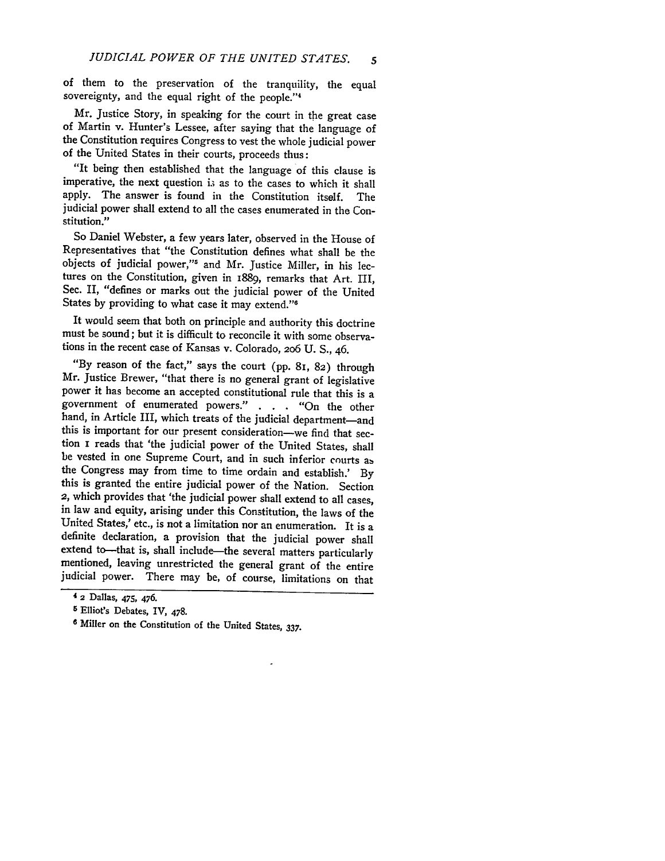of them to the preservation of the tranquility, the equal sovereignty, and the equal right of the people."<sup>4</sup>

Mr. Justice Story, in speaking for the court in the great case of Martin v. Hunter's Lessee, after saying that the language of the Constitution requires Congress to vest the whole judicial power of the United States in their courts, proceeds thus:

"It being then established that the language of this clause is imperative, the next question is as to the cases to which it shall apply. The answer is found in the Constitution itself. The judicial power shall extend to all the cases enumerated in the Constitution."

So Daniel Webster, a few years later, observed in the House of Representatives that "the Constitution defines what shall be the objects of judicial power,"<sup>5</sup> and Mr. Justice Miller, in his lectures on the Constitution, given in 1889, remarks that Art. III, Sec. II, "defines or marks out the judicial power of the United States by providing to what case it may extend."

It would seem that both on principle and authority this doctrine must be sound; but it is difficult to reconcile it with some observations in the recent case of Kansas v. Colorado, 206 U. S., 46.

"By reason of the fact," says the court (pp. 8I, 82) through Mr. Justice Brewer, "that there is no general grant of legislative power it has become an accepted constitutional rule that this is a government of enumerated powers." **. . .** "On the other hand, in Article III, which treats of the judicial department-and this is important for our present consideration-we find that section i reads that 'the judicial power of the United States, shall be vested in one Supreme Court, and in such inferior courts as the Congress may from time to time ordain and establish.' By this is granted the entire judicial power of the Nation. Section 2, which provides that 'the judicial power shall extend to all cases, in law and equity, arising under this Constitution, the laws of the United States,' etc., is not a limitation nor an enumeration. It is a definite declaration, a provision that the judicial power shall extend to-that is, shall include-the several matters particularly mentioned, leaving unrestricted the general grant of the entire judicial power. There may be, of course, limitations on that

**<sup>4</sup> 2** Dallas, 475, 476.

**<sup>5</sup>** Elliot's Debates, IV, 478.

Miller on the Constitution of the United States, **337.**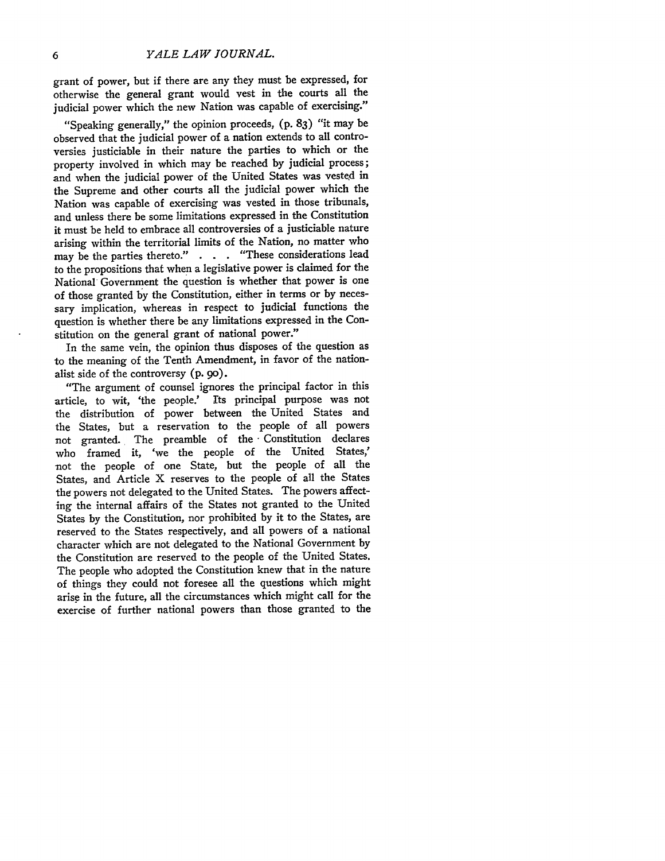grant of power, but if there are any they must be expressed, for otherwise the general grant would vest in the courts all the judicial power which the new Nation was capable of exercising."

"Speaking generally," the opinion proceeds, (p. **83)** "it may be observed that the judicial power of a nation extends to all controversies justiciable in their nature the parties to which or the property involved in which may be reached **by** judicial process; and when the judicial power of the United States was vested in the Supreme and other courts all the judicial power which the Nation was capable of exercising was vested in those tribunals, and unless there be some limitations expressed in the Constitution it must be held to embrace all controversies of a justiciable nature arising within the territorial limits of the Nation, no matter who may be the parties thereto." **. . .** "These considerations lead to the propositions that when a legislative power is claimed for the National Government the question is whether that power is one of those granted **by** the Constitution, either in terms or **by** necessary implication, whereas in respect to judicial functions the question is whether there be any limitations expressed in the Constitution on the general grant of national power."

In the same vein, the opinion thus disposes of the question as to the meaning of the Tenth Amendment, in favor of the nationalist side of the controversy **(p.** 9o).

"The argument of counsel ignores the principal factor in this article, to wit, 'the people.' Its principal purpose was not the distribution of power between the United States and the States, but a reservation to the people of all powers not granted. The preamble of the Constitution declares who framed it, *'we* the people of the United States,' not the people of one State, but the people of all the States, and Article X reserves to the people of all the States the powers not delegated to the United States. The powers affecting the internal affairs of the States not granted to the United States **by** the Constitution, nor prohibited **by** it to the States, are reserved to the States respectively, and all powers of a national character which are not delegated to the National Government **by** the Constitution are reserved to the people of the United States. The people who adopted the Constitution knew that in the nature of things they could not foresee all the questions which might arise in the future, all the circumstances which might call for the exercise of further national powers than those granted to the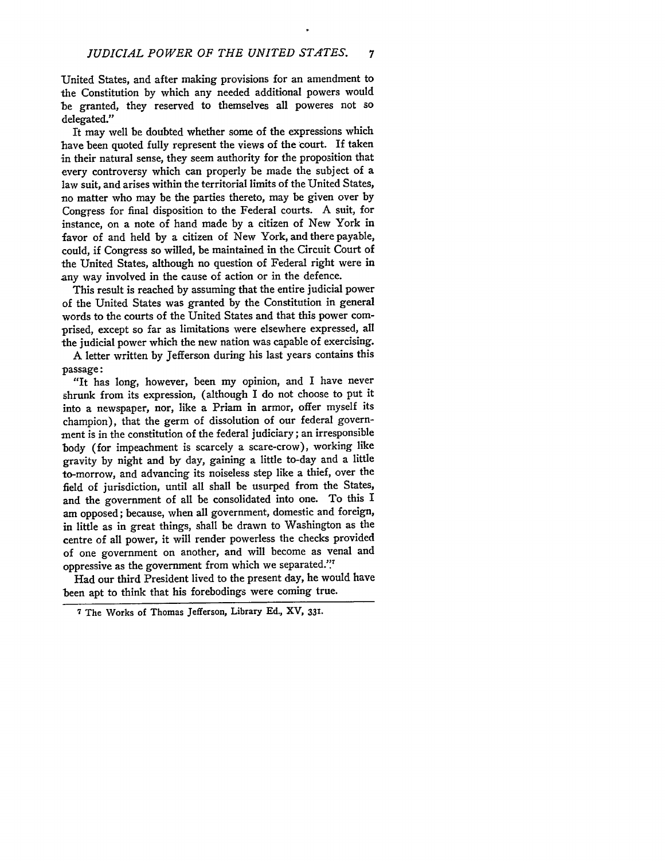United States, and after making provisions for an amendment to the Constitution by which any needed additional powers would be granted, they reserved to themselves all poweres not so delegated."

It may well be doubted whether some of the expressions which have been quoted fully represent the views of the court. If taken in their natural sense, they seem authority for the proposition that every controversy which can properly be made the subject of a law suit, and arises within the territorial limits of the United States, no matter who may be the parties thereto, may be given over by Congress for final disposition to the Federal courts. A suit, for instance, on a note of hand made by a citizen of New York in favor of and held by a citizen of New York, and there payable, could, if Congress so willed, be maintained in the Circuit Court of the United States, although no question of Federal right were in any way involved in the cause of action or in the defence.

This result is reached by assuming that the entire judicial power of the United States was granted by the Constitution in general words to the courts of the United States and that this power comprised, except so far as limitations were elsewhere expressed, all the judicial power which the new nation was capable of exercising.

A letter written by Jefferson during his last years contains this passage:

"It has long, however, been my opinion, and I have never shrunk from its expression, (although I do not choose to put it into a newspaper, nor, like a Priam in armor, offer myself its champion), that the germ of dissolution of our federal government is in the constitution of the federal judiciary; an irresponsible body (for impeachment is scarcely a scare-crow), working like gravity by night and by day, gaining a little to-day and a little to-morrow, and advancing its noiseless step like a thief, over the field of jurisdiction, until all shall be usurped from the States, and the government of all be consolidated into one. To this I am opposed; because, when all government, domestic and foreign, in little as in great things, shall be drawn to Washington as the centre of all power, it will render powerless the checks provided of one government on another, and will become as venal and oppressive as the government from which we separated."

Had our third President lived to the present day, he would have been apt to think that his forebodings were coming true.

<sup>7</sup> The Works of Thomas Jefferson, Library **Ed.,** XV, **331.**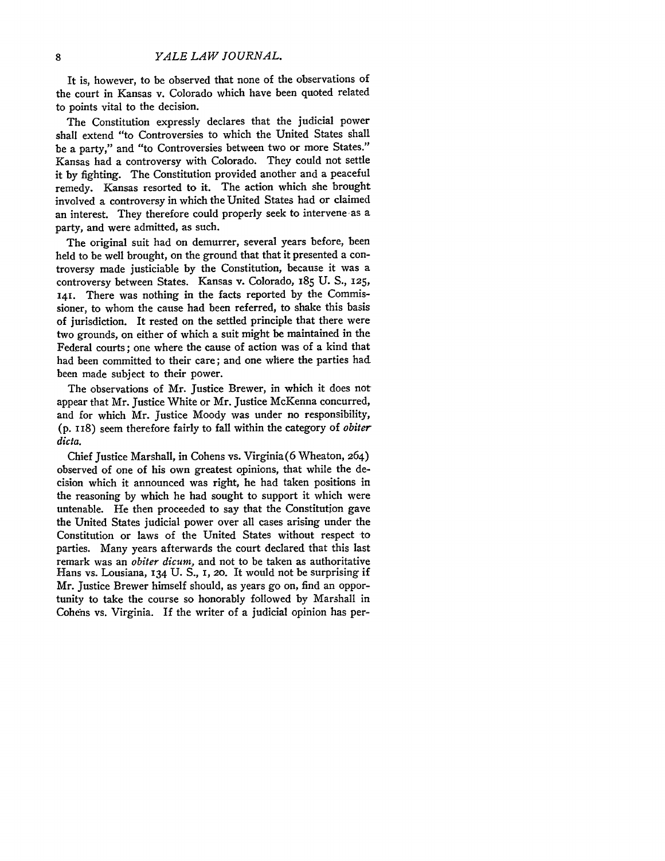It is, however, to be observed that none of the observations of the court in Kansas v. Colorado which have been quoted related to points vital to the decision.

The Constitution expressly declares that the judicial power shall extend "to Controversies to which the United States shall be a party," and "to Controversies between two or more States." Kansas had a controversy with Colorado. They could not settle it by fighting. The Constitution provided another and a peaceful remedy. Kansas resorted to it. The action which she brought involved a controversy in which the United States had or claimed an interest. They therefore could properly seek to intervene as a party, and were admitted, as such.

The original suit had on demurrer, several years before, been held to be well brought, on the ground that that it presented a controversy made justiciable by the Constitution, because it was a controversy between States. Kansas v. Colorado, 185 U. S., 125, 141. There was nothing in the facts reported by the Commissioner, to whom the cause had been referred, to shake this basis of jurisdiction. It rested on the settled principle that there were two grounds, on either of which a suit might be maintained in the Federal courts; one where the cause of action was of a kind that had been committed to their care; and one where the parties had been made subject to their power.

The observations of Mr. Justice Brewer, in which it does not appear that Mr. Justice White or Mr. Justice McKenna concurred, and for which Mr. Justice Moody was under no responsibility, (p. **I** i8) seem therefore fairly to fall within the category of *obiter dicta.*

Chief Justice Marshall, in Cohens vs. Virginia (6 Wheaton, 264) observed of one of his own greatest opinions, that while the decision which it announced was right, he had taken positions in the reasoning by which he had sought to support it which were untenable. He then proceeded to say that the Constitution gave the United States judicial power over all cases arising under the Constitution or laws of the United States without respect to parties. Many years afterwards the court declared that this last remark was an *obiter dicum,* and not to be taken as authoritative Hans vs. Lousiana, **134** U. S., **I, 20.** It would not be surprising if Mr. Justice Brewer himself should, as years go on, find an opportunity to take the course so honorably followed by Marshall in Cohens vs. Virginia. If the writer of a judicial opinion has per